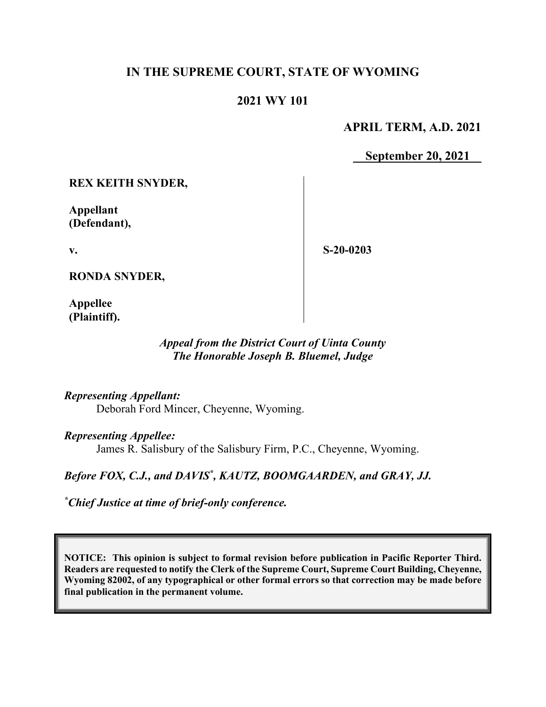# **IN THE SUPREME COURT, STATE OF WYOMING**

## **2021 WY 101**

### **APRIL TERM, A.D. 2021**

**September 20, 2021**

**REX KEITH SNYDER,**

**Appellant (Defendant),**

**v.**

**S-20-0203**

**RONDA SNYDER,**

**Appellee (Plaintiff).**

#### *Appeal from the District Court of Uinta County The Honorable Joseph B. Bluemel, Judge*

#### *Representing Appellant:*

Deborah Ford Mincer, Cheyenne, Wyoming.

#### *Representing Appellee:*

James R. Salisbury of the Salisbury Firm, P.C., Cheyenne, Wyoming.

### Before FOX, C.J., and DAVIS<sup>\*</sup>, KAUTZ, BOOMGAARDEN, and GRAY, JJ.

*\* Chief Justice at time of brief-only conference.*

**NOTICE: This opinion is subject to formal revision before publication in Pacific Reporter Third. Readers are requested to notify the Clerk of the Supreme Court, Supreme Court Building, Cheyenne, Wyoming 82002, of any typographical or other formal errors so that correction may be made before final publication in the permanent volume.**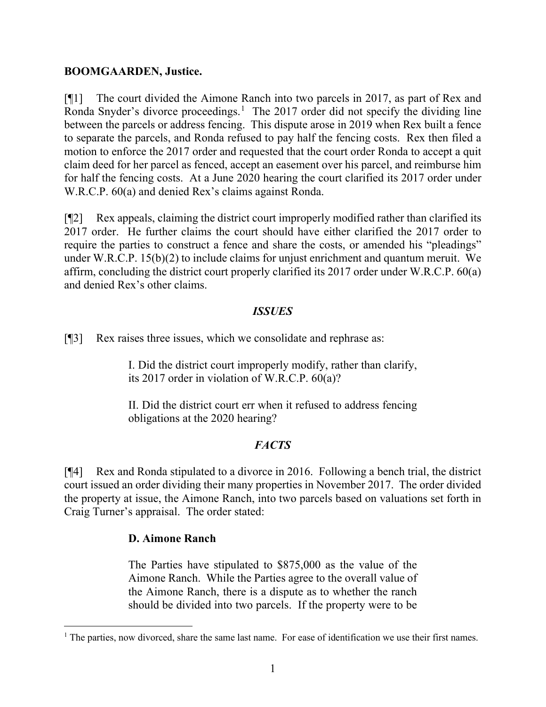#### **BOOMGAARDEN, Justice.**

[¶1] The court divided the Aimone Ranch into two parcels in 2017, as part of Rex and Ronda Snyder's divorce proceedings.<sup>[1](#page-1-0)</sup> The 2017 order did not specify the dividing line between the parcels or address fencing. This dispute arose in 2019 when Rex built a fence to separate the parcels, and Ronda refused to pay half the fencing costs. Rex then filed a motion to enforce the 2017 order and requested that the court order Ronda to accept a quit claim deed for her parcel as fenced, accept an easement over his parcel, and reimburse him for half the fencing costs. At a June 2020 hearing the court clarified its 2017 order under W.R.C.P. 60(a) and denied Rex's claims against Ronda.

[¶2] Rex appeals, claiming the district court improperly modified rather than clarified its 2017 order. He further claims the court should have either clarified the 2017 order to require the parties to construct a fence and share the costs, or amended his "pleadings" under W.R.C.P. 15(b)(2) to include claims for unjust enrichment and quantum meruit. We affirm, concluding the district court properly clarified its 2017 order under W.R.C.P. 60(a) and denied Rex's other claims.

### *ISSUES*

[¶3] Rex raises three issues, which we consolidate and rephrase as:

I. Did the district court improperly modify, rather than clarify, its 2017 order in violation of W.R.C.P. 60(a)?

II. Did the district court err when it refused to address fencing obligations at the 2020 hearing?

## *FACTS*

[¶4] Rex and Ronda stipulated to a divorce in 2016. Following a bench trial, the district court issued an order dividing their many properties in November 2017. The order divided the property at issue, the Aimone Ranch, into two parcels based on valuations set forth in Craig Turner's appraisal. The order stated:

## **D. Aimone Ranch**

The Parties have stipulated to \$875,000 as the value of the Aimone Ranch. While the Parties agree to the overall value of the Aimone Ranch, there is a dispute as to whether the ranch should be divided into two parcels. If the property were to be

<span id="page-1-0"></span><sup>&</sup>lt;sup>1</sup> The parties, now divorced, share the same last name. For ease of identification we use their first names.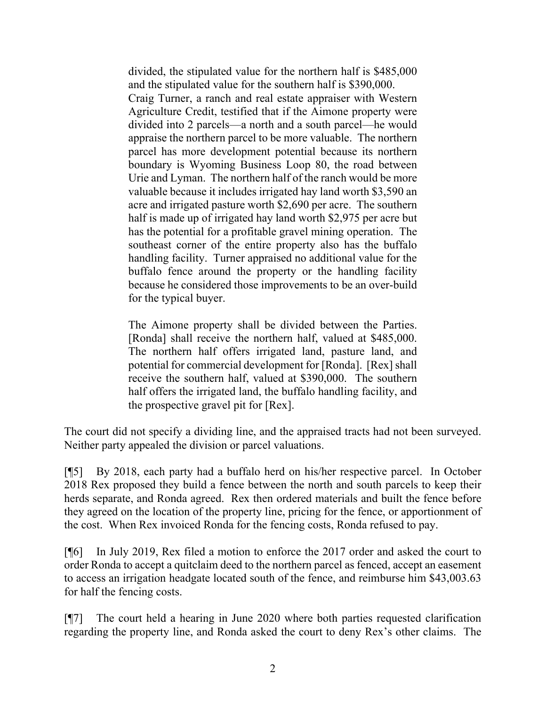divided, the stipulated value for the northern half is \$485,000 and the stipulated value for the southern half is \$390,000. Craig Turner, a ranch and real estate appraiser with Western Agriculture Credit, testified that if the Aimone property were divided into 2 parcels—a north and a south parcel—he would appraise the northern parcel to be more valuable. The northern parcel has more development potential because its northern boundary is Wyoming Business Loop 80, the road between Urie and Lyman. The northern half of the ranch would be more valuable because it includes irrigated hay land worth \$3,590 an acre and irrigated pasture worth \$2,690 per acre. The southern half is made up of irrigated hay land worth \$2,975 per acre but has the potential for a profitable gravel mining operation. The southeast corner of the entire property also has the buffalo handling facility. Turner appraised no additional value for the buffalo fence around the property or the handling facility because he considered those improvements to be an over-build for the typical buyer.

The Aimone property shall be divided between the Parties. [Ronda] shall receive the northern half, valued at \$485,000. The northern half offers irrigated land, pasture land, and potential for commercial development for [Ronda]. [Rex] shall receive the southern half, valued at \$390,000. The southern half offers the irrigated land, the buffalo handling facility, and the prospective gravel pit for [Rex].

The court did not specify a dividing line, and the appraised tracts had not been surveyed. Neither party appealed the division or parcel valuations.

[¶5] By 2018, each party had a buffalo herd on his/her respective parcel. In October 2018 Rex proposed they build a fence between the north and south parcels to keep their herds separate, and Ronda agreed. Rex then ordered materials and built the fence before they agreed on the location of the property line, pricing for the fence, or apportionment of the cost. When Rex invoiced Ronda for the fencing costs, Ronda refused to pay.

[¶6] In July 2019, Rex filed a motion to enforce the 2017 order and asked the court to order Ronda to accept a quitclaim deed to the northern parcel as fenced, accept an easement to access an irrigation headgate located south of the fence, and reimburse him \$43,003.63 for half the fencing costs.

[¶7] The court held a hearing in June 2020 where both parties requested clarification regarding the property line, and Ronda asked the court to deny Rex's other claims. The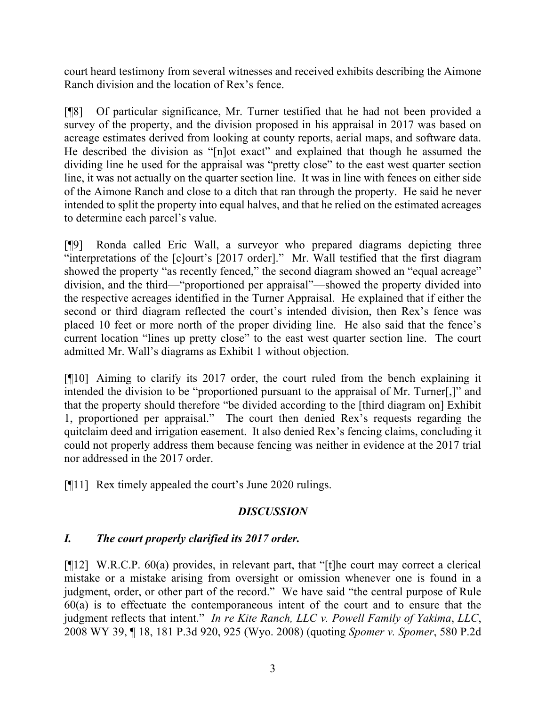court heard testimony from several witnesses and received exhibits describing the Aimone Ranch division and the location of Rex's fence.

[¶8] Of particular significance, Mr. Turner testified that he had not been provided a survey of the property, and the division proposed in his appraisal in 2017 was based on acreage estimates derived from looking at county reports, aerial maps, and software data. He described the division as "[n]ot exact" and explained that though he assumed the dividing line he used for the appraisal was "pretty close" to the east west quarter section line, it was not actually on the quarter section line. It was in line with fences on either side of the Aimone Ranch and close to a ditch that ran through the property. He said he never intended to split the property into equal halves, and that he relied on the estimated acreages to determine each parcel's value.

[¶9] Ronda called Eric Wall, a surveyor who prepared diagrams depicting three "interpretations of the [c]ourt's [2017 order]." Mr. Wall testified that the first diagram showed the property "as recently fenced," the second diagram showed an "equal acreage" division, and the third—"proportioned per appraisal"—showed the property divided into the respective acreages identified in the Turner Appraisal. He explained that if either the second or third diagram reflected the court's intended division, then Rex's fence was placed 10 feet or more north of the proper dividing line. He also said that the fence's current location "lines up pretty close" to the east west quarter section line. The court admitted Mr. Wall's diagrams as Exhibit 1 without objection.

[¶10] Aiming to clarify its 2017 order, the court ruled from the bench explaining it intended the division to be "proportioned pursuant to the appraisal of Mr. Turner[,]" and that the property should therefore "be divided according to the [third diagram on] Exhibit 1, proportioned per appraisal." The court then denied Rex's requests regarding the quitclaim deed and irrigation easement. It also denied Rex's fencing claims, concluding it could not properly address them because fencing was neither in evidence at the 2017 trial nor addressed in the 2017 order.

[¶11] Rex timely appealed the court's June 2020 rulings.

# *DISCUSSION*

# *I. The court properly clarified its 2017 order.*

[¶12] W.R.C.P. 60(a) provides, in relevant part, that "[t]he court may correct a clerical mistake or a mistake arising from oversight or omission whenever one is found in a judgment, order, or other part of the record." We have said "the central purpose of Rule  $60(a)$  is to effectuate the contemporaneous intent of the court and to ensure that the judgment reflects that intent." *In re Kite Ranch, LLC v. Powell Family of Yakima*, *LLC*, 2008 WY 39, ¶ 18, 181 P.3d 920, 925 (Wyo. 2008) (quoting *Spomer v. Spomer*, 580 P.2d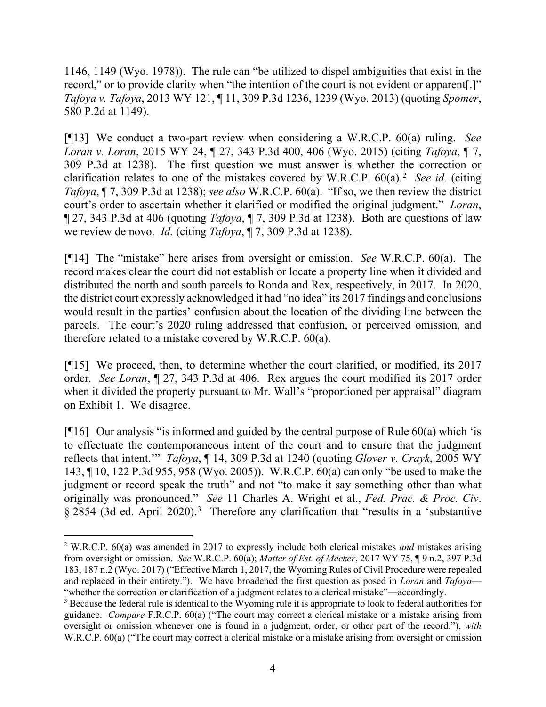1146, 1149 (Wyo. 1978)). The rule can "be utilized to dispel ambiguities that exist in the record," or to provide clarity when "the intention of the court is not evident or apparent[.]" *Tafoya v. Tafoya*, 2013 WY 121, ¶ 11, 309 P.3d 1236, 1239 (Wyo. 2013) (quoting *Spomer*, 580 P.2d at 1149).

[¶13] We conduct a two-part review when considering a W.R.C.P. 60(a) ruling. *See Loran v. Loran*, 2015 WY 24, ¶ 27, 343 P.3d 400, 406 (Wyo. 2015) (citing *Tafoya*, ¶ 7, 309 P.3d at 1238). The first question we must answer is whether the correction or clarification relates to one of the mistakes covered by W.R.C.P. 60(a).[2](#page-4-0) *See id.* (citing *Tafoya*, ¶ 7, 309 P.3d at 1238); *see also* W.R.C.P. 60(a). "If so, we then review the district court's order to ascertain whether it clarified or modified the original judgment." *Loran*, ¶ 27, 343 P.3d at 406 (quoting *Tafoya*, ¶ 7, 309 P.3d at 1238). Both are questions of law we review de novo. *Id.* (citing *Tafoya*, ¶ 7, 309 P.3d at 1238).

[¶14] The "mistake" here arises from oversight or omission. *See* W.R.C.P. 60(a). The record makes clear the court did not establish or locate a property line when it divided and distributed the north and south parcels to Ronda and Rex, respectively, in 2017. In 2020, the district court expressly acknowledged it had "no idea" its 2017 findings and conclusions would result in the parties' confusion about the location of the dividing line between the parcels. The court's 2020 ruling addressed that confusion, or perceived omission, and therefore related to a mistake covered by W.R.C.P. 60(a).

[¶15] We proceed, then, to determine whether the court clarified, or modified, its 2017 order. *See Loran*, ¶ 27, 343 P.3d at 406. Rex argues the court modified its 2017 order when it divided the property pursuant to Mr. Wall's "proportioned per appraisal" diagram on Exhibit 1. We disagree.

[ $[16]$  Our analysis "is informed and guided by the central purpose of Rule 60(a) which 'is to effectuate the contemporaneous intent of the court and to ensure that the judgment reflects that intent.'" *Tafoya*, ¶ 14, 309 P.3d at 1240 (quoting *Glover v. Crayk*, 2005 WY 143, ¶ 10, 122 P.3d 955, 958 (Wyo. 2005)). W.R.C.P. 60(a) can only "be used to make the judgment or record speak the truth" and not "to make it say something other than what originally was pronounced." *See* 11 Charles A. Wright et al., *Fed. Prac. & Proc. Civ*. § 2854 ([3](#page-4-1)d ed. April 2020).<sup>3</sup> Therefore any clarification that "results in a 'substantive

<span id="page-4-0"></span><sup>2</sup> W.R.C.P. 60(a) was amended in 2017 to expressly include both clerical mistakes *and* mistakes arising from oversight or omission. *See* W.R.C.P. 60(a); *Matter of Est. of Meeker*, 2017 WY 75, ¶ 9 n.2, 397 P.3d 183, 187 n.2 (Wyo. 2017) ("Effective March 1, 2017, the Wyoming Rules of Civil Procedure were repealed and replaced in their entirety."). We have broadened the first question as posed in *Loran* and *Tafoya*— "whether the correction or clarification of a judgment relates to a clerical mistake"—accordingly.

<span id="page-4-1"></span><sup>&</sup>lt;sup>3</sup> Because the federal rule is identical to the Wyoming rule it is appropriate to look to federal authorities for guidance. *Compare* F.R.C.P. 60(a) ("The court may correct a clerical mistake or a mistake arising from oversight or omission whenever one is found in a judgment, order, or other part of the record."), *with* W.R.C.P. 60(a) ("The court may correct a clerical mistake or a mistake arising from oversight or omission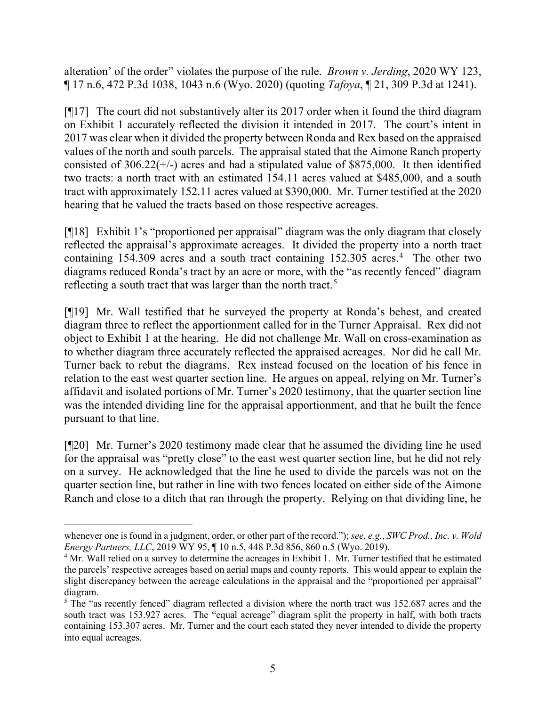alteration' of the order" violates the purpose of the rule. *Brown v. Jerding*, 2020 WY 123, ¶ 17 n.6, 472 P.3d 1038, 1043 n.6 (Wyo. 2020) (quoting *Tafoya*, ¶ 21, 309 P.3d at 1241).

[¶17] The court did not substantively alter its 2017 order when it found the third diagram on Exhibit 1 accurately reflected the division it intended in 2017. The court's intent in 2017 was clear when it divided the property between Ronda and Rex based on the appraised values of the north and south parcels. The appraisal stated that the Aimone Ranch property consisted of  $306.22(+/-)$  acres and had a stipulated value of \$875,000. It then identified two tracts: a north tract with an estimated 154.11 acres valued at \$485,000, and a south tract with approximately 152.11 acres valued at \$390,000. Mr. Turner testified at the 2020 hearing that he valued the tracts based on those respective acreages.

[¶18] Exhibit 1's "proportioned per appraisal" diagram was the only diagram that closely reflected the appraisal's approximate acreages. It divided the property into a north tract containing 15[4](#page-5-0).309 acres and a south tract containing 152.305 acres.<sup>4</sup> The other two diagrams reduced Ronda's tract by an acre or more, with the "as recently fenced" diagram reflecting a south tract that was larger than the north tract.<sup>[5](#page-5-1)</sup>

[¶19] Mr. Wall testified that he surveyed the property at Ronda's behest, and created diagram three to reflect the apportionment called for in the Turner Appraisal. Rex did not object to Exhibit 1 at the hearing. He did not challenge Mr. Wall on cross-examination as to whether diagram three accurately reflected the appraised acreages. Nor did he call Mr. Turner back to rebut the diagrams. Rex instead focused on the location of his fence in relation to the east west quarter section line. He argues on appeal, relying on Mr. Turner's affidavit and isolated portions of Mr. Turner's 2020 testimony, that the quarter section line was the intended dividing line for the appraisal apportionment, and that he built the fence pursuant to that line.

[¶20] Mr. Turner's 2020 testimony made clear that he assumed the dividing line he used for the appraisal was "pretty close" to the east west quarter section line, but he did not rely on a survey. He acknowledged that the line he used to divide the parcels was not on the quarter section line, but rather in line with two fences located on either side of the Aimone Ranch and close to a ditch that ran through the property. Relying on that dividing line, he

whenever one is found in a judgment, order, or other part of the record."); *see, e.g.*, *SWC Prod., Inc. v. Wold Energy Partners, LLC*, 2019 WY 95, ¶ 10 n.5, 448 P.3d 856, 860 n.5 (Wyo. 2019).

<span id="page-5-0"></span><sup>&</sup>lt;sup>4</sup> Mr. Wall relied on a survey to determine the acreages in Exhibit 1. Mr. Turner testified that he estimated the parcels' respective acreages based on aerial maps and county reports. This would appear to explain the slight discrepancy between the acreage calculations in the appraisal and the "proportioned per appraisal" diagram.

<span id="page-5-1"></span><sup>&</sup>lt;sup>5</sup> The "as recently fenced" diagram reflected a division where the north tract was 152.687 acres and the south tract was 153.927 acres. The "equal acreage" diagram split the property in half, with both tracts containing 153.307 acres. Mr. Turner and the court each stated they never intended to divide the property into equal acreages.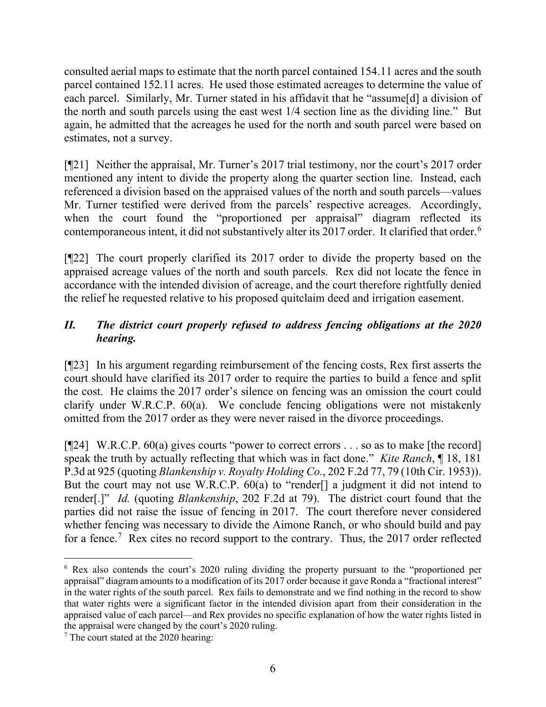consulted aerial maps to estimate that the north parcel contained 154.11 acres and the south parcel contained 152.11 acres. He used those estimated acreages to determine the value of each parcel. Similarly, Mr. Turner stated in his affidavit that he "assume[d] a division of the north and south parcels using the east west 1/4 section line as the dividing line." But again, he admitted that the acreages he used for the north and south parcel were based on estimates, not a survey.

[¶21] Neither the appraisal, Mr. Turner's 2017 trial testimony, nor the court's 2017 order mentioned any intent to divide the property along the quarter section line. Instead, each referenced a division based on the appraised values of the north and south parcels—values Mr. Turner testified were derived from the parcels' respective acreages. Accordingly, when the court found the "proportioned per appraisal" diagram reflected its contemporaneous intent, it did not substantively alter its 2017 order. It clarified that order. [6](#page-6-0)

[¶22] The court properly clarified its 2017 order to divide the property based on the appraised acreage values of the north and south parcels. Rex did not locate the fence in accordance with the intended division of acreage, and the court therefore rightfully denied the relief he requested relative to his proposed quitclaim deed and irrigation easement.

# *II. The district court properly refused to address fencing obligations at the 2020 hearing.*

[¶23] In his argument regarding reimbursement of the fencing costs, Rex first asserts the court should have clarified its 2017 order to require the parties to build a fence and split the cost. He claims the 2017 order's silence on fencing was an omission the court could clarify under W.R.C.P. 60(a). We conclude fencing obligations were not mistakenly omitted from the 2017 order as they were never raised in the divorce proceedings.

 $[124]$  W.R.C.P. 60(a) gives courts "power to correct errors . . . so as to make [the record] speak the truth by actually reflecting that which was in fact done." *Kite Ranch*, ¶ 18, 181 P.3d at 925 (quoting *Blankenship v. Royalty Holding Co.*, 202 F.2d 77, 79 (10th Cir. 1953)). But the court may not use W.R.C.P. 60(a) to "render[] a judgment it did not intend to render[.]" *Id.* (quoting *Blankenship*, 202 F.2d at 79). The district court found that the parties did not raise the issue of fencing in 2017. The court therefore never considered whether fencing was necessary to divide the Aimone Ranch, or who should build and pay for a fence.<sup>[7](#page-6-1)</sup> Rex cites no record support to the contrary. Thus, the 2017 order reflected

<span id="page-6-0"></span><sup>6</sup> Rex also contends the court's 2020 ruling dividing the property pursuant to the "proportioned per appraisal" diagram amounts to a modification of its 2017 order because it gave Ronda a "fractional interest" in the water rights of the south parcel. Rex fails to demonstrate and we find nothing in the record to show that water rights were a significant factor in the intended division apart from their consideration in the appraised value of each parcel—and Rex provides no specific explanation of how the water rights listed in the appraisal were changed by the court's 2020 ruling.

<span id="page-6-1"></span><sup>7</sup> The court stated at the 2020 hearing: